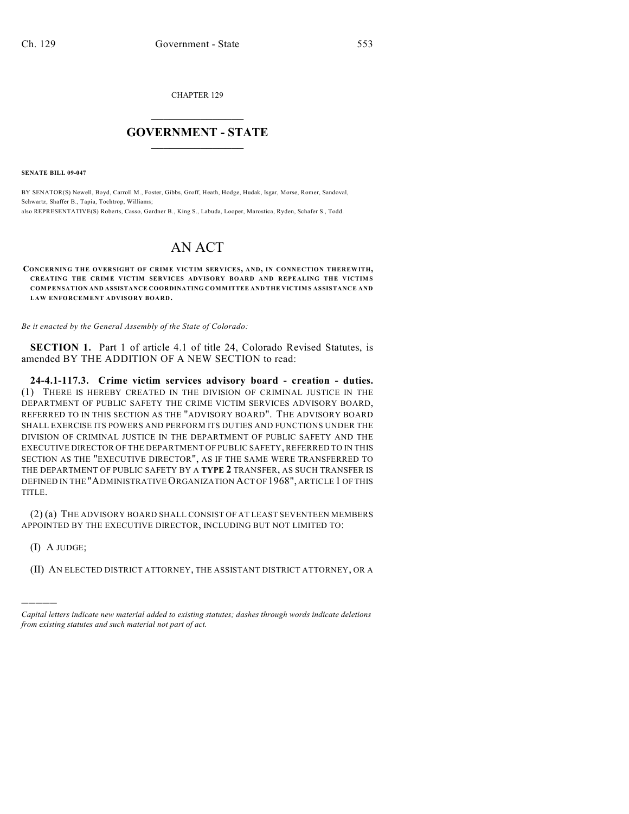CHAPTER 129

## $\mathcal{L}_\text{max}$  . The set of the set of the set of the set of the set of the set of the set of the set of the set of the set of the set of the set of the set of the set of the set of the set of the set of the set of the set **GOVERNMENT - STATE**  $\_$   $\_$   $\_$   $\_$   $\_$   $\_$   $\_$   $\_$

**SENATE BILL 09-047**

BY SENATOR(S) Newell, Boyd, Carroll M., Foster, Gibbs, Groff, Heath, Hodge, Hudak, Isgar, Morse, Romer, Sandoval, Schwartz, Shaffer B., Tapia, Tochtrop, Williams; also REPRESENTATIVE(S) Roberts, Casso, Gardner B., King S., Labuda, Looper, Marostica, Ryden, Schafer S., Todd.

## AN ACT

**CONCERNING THE OVERSIGHT OF CRIME VICTIM SERVICES, AND, IN CONNECTION THEREWITH, CREATING THE CRIME VICTIM SERVICES ADVISORY BOARD AND REPEALING THE VICTIMS COMPENSATION AND ASSISTANCE COORDINATING COMMITTEE AND THE VICTIMS ASSISTANCE AND LAW ENFORCEMENT ADVISORY BOARD.**

*Be it enacted by the General Assembly of the State of Colorado:*

**SECTION 1.** Part 1 of article 4.1 of title 24, Colorado Revised Statutes, is amended BY THE ADDITION OF A NEW SECTION to read:

**24-4.1-117.3. Crime victim services advisory board - creation - duties.** (1) THERE IS HEREBY CREATED IN THE DIVISION OF CRIMINAL JUSTICE IN THE DEPARTMENT OF PUBLIC SAFETY THE CRIME VICTIM SERVICES ADVISORY BOARD, REFERRED TO IN THIS SECTION AS THE "ADVISORY BOARD". THE ADVISORY BOARD SHALL EXERCISE ITS POWERS AND PERFORM ITS DUTIES AND FUNCTIONS UNDER THE DIVISION OF CRIMINAL JUSTICE IN THE DEPARTMENT OF PUBLIC SAFETY AND THE EXECUTIVE DIRECTOR OF THE DEPARTMENT OF PUBLIC SAFETY, REFERRED TO IN THIS SECTION AS THE "EXECUTIVE DIRECTOR", AS IF THE SAME WERE TRANSFERRED TO THE DEPARTMENT OF PUBLIC SAFETY BY A **TYPE 2** TRANSFER, AS SUCH TRANSFER IS DEFINED IN THE "ADMINISTRATIVE ORGANIZATION ACT OF 1968", ARTICLE 1 OF THIS TITLE.

(2) (a) THE ADVISORY BOARD SHALL CONSIST OF AT LEAST SEVENTEEN MEMBERS APPOINTED BY THE EXECUTIVE DIRECTOR, INCLUDING BUT NOT LIMITED TO:

(I) A JUDGE;

)))))

(II) AN ELECTED DISTRICT ATTORNEY, THE ASSISTANT DISTRICT ATTORNEY, OR A

*Capital letters indicate new material added to existing statutes; dashes through words indicate deletions from existing statutes and such material not part of act.*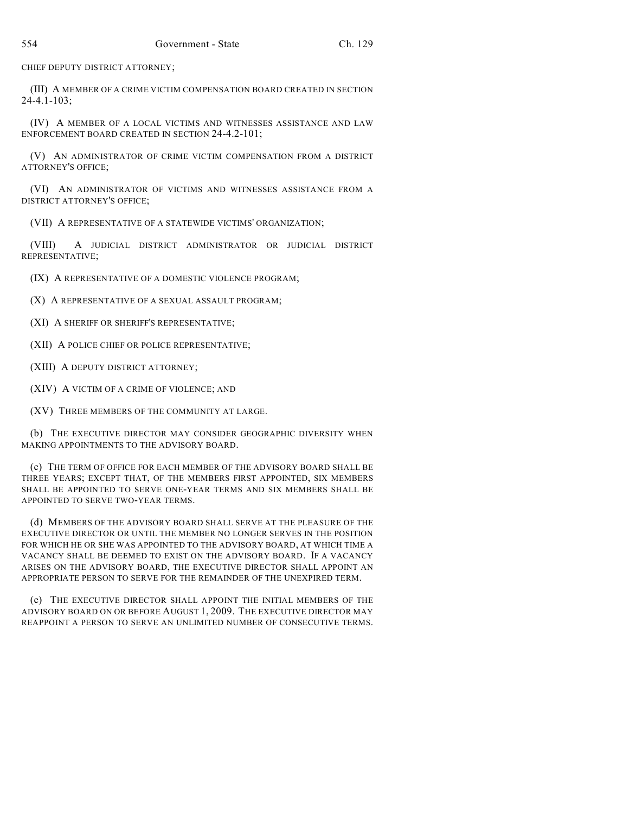CHIEF DEPUTY DISTRICT ATTORNEY;

(III) A MEMBER OF A CRIME VICTIM COMPENSATION BOARD CREATED IN SECTION 24-4.1-103;

(IV) A MEMBER OF A LOCAL VICTIMS AND WITNESSES ASSISTANCE AND LAW ENFORCEMENT BOARD CREATED IN SECTION 24-4.2-101;

(V) AN ADMINISTRATOR OF CRIME VICTIM COMPENSATION FROM A DISTRICT ATTORNEY'S OFFICE;

(VI) AN ADMINISTRATOR OF VICTIMS AND WITNESSES ASSISTANCE FROM A DISTRICT ATTORNEY'S OFFICE;

(VII) A REPRESENTATIVE OF A STATEWIDE VICTIMS' ORGANIZATION;

(VIII) A JUDICIAL DISTRICT ADMINISTRATOR OR JUDICIAL DISTRICT REPRESENTATIVE;

(IX) A REPRESENTATIVE OF A DOMESTIC VIOLENCE PROGRAM;

(X) A REPRESENTATIVE OF A SEXUAL ASSAULT PROGRAM;

(XI) A SHERIFF OR SHERIFF'S REPRESENTATIVE;

(XII) A POLICE CHIEF OR POLICE REPRESENTATIVE;

(XIII) A DEPUTY DISTRICT ATTORNEY;

(XIV) A VICTIM OF A CRIME OF VIOLENCE; AND

(XV) THREE MEMBERS OF THE COMMUNITY AT LARGE.

(b) THE EXECUTIVE DIRECTOR MAY CONSIDER GEOGRAPHIC DIVERSITY WHEN MAKING APPOINTMENTS TO THE ADVISORY BOARD.

(c) THE TERM OF OFFICE FOR EACH MEMBER OF THE ADVISORY BOARD SHALL BE THREE YEARS; EXCEPT THAT, OF THE MEMBERS FIRST APPOINTED, SIX MEMBERS SHALL BE APPOINTED TO SERVE ONE-YEAR TERMS AND SIX MEMBERS SHALL BE APPOINTED TO SERVE TWO-YEAR TERMS.

(d) MEMBERS OF THE ADVISORY BOARD SHALL SERVE AT THE PLEASURE OF THE EXECUTIVE DIRECTOR OR UNTIL THE MEMBER NO LONGER SERVES IN THE POSITION FOR WHICH HE OR SHE WAS APPOINTED TO THE ADVISORY BOARD, AT WHICH TIME A VACANCY SHALL BE DEEMED TO EXIST ON THE ADVISORY BOARD. IF A VACANCY ARISES ON THE ADVISORY BOARD, THE EXECUTIVE DIRECTOR SHALL APPOINT AN APPROPRIATE PERSON TO SERVE FOR THE REMAINDER OF THE UNEXPIRED TERM.

(e) THE EXECUTIVE DIRECTOR SHALL APPOINT THE INITIAL MEMBERS OF THE ADVISORY BOARD ON OR BEFORE AUGUST 1, 2009. THE EXECUTIVE DIRECTOR MAY REAPPOINT A PERSON TO SERVE AN UNLIMITED NUMBER OF CONSECUTIVE TERMS.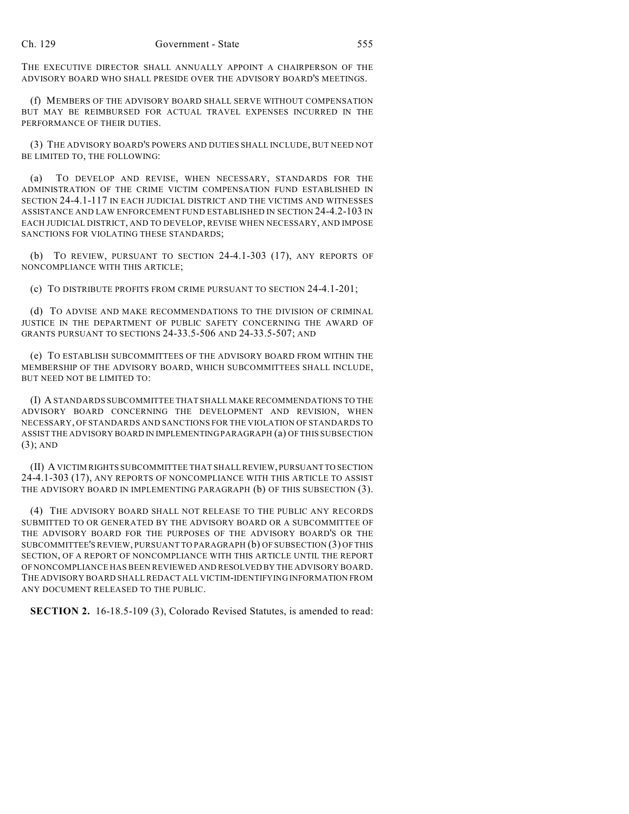THE EXECUTIVE DIRECTOR SHALL ANNUALLY APPOINT A CHAIRPERSON OF THE ADVISORY BOARD WHO SHALL PRESIDE OVER THE ADVISORY BOARD'S MEETINGS.

(f) MEMBERS OF THE ADVISORY BOARD SHALL SERVE WITHOUT COMPENSATION BUT MAY BE REIMBURSED FOR ACTUAL TRAVEL EXPENSES INCURRED IN THE PERFORMANCE OF THEIR DUTIES.

(3) THE ADVISORY BOARD'S POWERS AND DUTIES SHALL INCLUDE, BUT NEED NOT BE LIMITED TO, THE FOLLOWING:

(a) TO DEVELOP AND REVISE, WHEN NECESSARY, STANDARDS FOR THE ADMINISTRATION OF THE CRIME VICTIM COMPENSATION FUND ESTABLISHED IN SECTION 24-4.1-117 IN EACH JUDICIAL DISTRICT AND THE VICTIMS AND WITNESSES ASSISTANCE AND LAW ENFORCEMENT FUND ESTABLISHED IN SECTION 24-4.2-103 IN EACH JUDICIAL DISTRICT, AND TO DEVELOP, REVISE WHEN NECESSARY, AND IMPOSE SANCTIONS FOR VIOLATING THESE STANDARDS;

(b) TO REVIEW, PURSUANT TO SECTION 24-4.1-303 (17), ANY REPORTS OF NONCOMPLIANCE WITH THIS ARTICLE;

(c) TO DISTRIBUTE PROFITS FROM CRIME PURSUANT TO SECTION 24-4.1-201;

(d) TO ADVISE AND MAKE RECOMMENDATIONS TO THE DIVISION OF CRIMINAL JUSTICE IN THE DEPARTMENT OF PUBLIC SAFETY CONCERNING THE AWARD OF GRANTS PURSUANT TO SECTIONS 24-33.5-506 AND 24-33.5-507; AND

(e) TO ESTABLISH SUBCOMMITTEES OF THE ADVISORY BOARD FROM WITHIN THE MEMBERSHIP OF THE ADVISORY BOARD, WHICH SUBCOMMITTEES SHALL INCLUDE, BUT NEED NOT BE LIMITED TO:

(I) A STANDARDS SUBCOMMITTEE THAT SHALL MAKE RECOMMENDATIONS TO THE ADVISORY BOARD CONCERNING THE DEVELOPMENT AND REVISION, WHEN NECESSARY, OF STANDARDS AND SANCTIONS FOR THE VIOLATION OF STANDARDS TO ASSIST THE ADVISORY BOARD IN IMPLEMENTING PARAGRAPH (a) OF THIS SUBSECTION (3); AND

(II) A VICTIM RIGHTS SUBCOMMITTEE THAT SHALL REVIEW, PURSUANT TO SECTION 24-4.1-303 (17), ANY REPORTS OF NONCOMPLIANCE WITH THIS ARTICLE TO ASSIST THE ADVISORY BOARD IN IMPLEMENTING PARAGRAPH (b) OF THIS SUBSECTION (3).

(4) THE ADVISORY BOARD SHALL NOT RELEASE TO THE PUBLIC ANY RECORDS SUBMITTED TO OR GENERATED BY THE ADVISORY BOARD OR A SUBCOMMITTEE OF THE ADVISORY BOARD FOR THE PURPOSES OF THE ADVISORY BOARD'S OR THE SUBCOMMITTEE'S REVIEW, PURSUANT TO PARAGRAPH (b) OF SUBSECTION (3) OF THIS SECTION, OF A REPORT OF NONCOMPLIANCE WITH THIS ARTICLE UNTIL THE REPORT OF NONCOMPLIANCE HAS BEEN REVIEWED AND RESOLVED BY THE ADVISORY BOARD. THE ADVISORY BOARD SHALL REDACT ALL VICTIM-IDENTIFYING INFORMATION FROM ANY DOCUMENT RELEASED TO THE PUBLIC.

**SECTION 2.** 16-18.5-109 (3), Colorado Revised Statutes, is amended to read: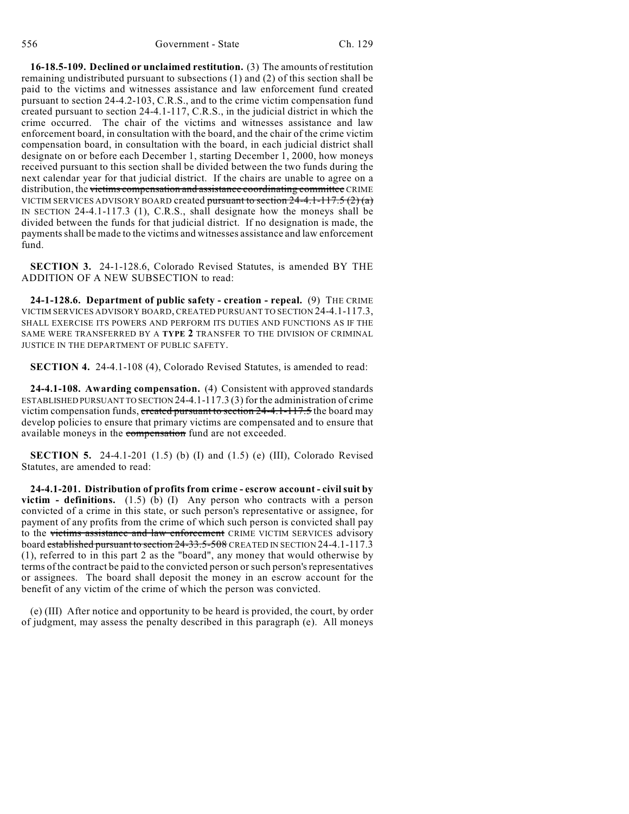**16-18.5-109. Declined or unclaimed restitution.** (3) The amounts of restitution remaining undistributed pursuant to subsections (1) and (2) of this section shall be paid to the victims and witnesses assistance and law enforcement fund created pursuant to section 24-4.2-103, C.R.S., and to the crime victim compensation fund created pursuant to section 24-4.1-117, C.R.S., in the judicial district in which the crime occurred. The chair of the victims and witnesses assistance and law enforcement board, in consultation with the board, and the chair of the crime victim compensation board, in consultation with the board, in each judicial district shall designate on or before each December 1, starting December 1, 2000, how moneys received pursuant to this section shall be divided between the two funds during the next calendar year for that judicial district. If the chairs are unable to agree on a distribution, the victims compensation and assistance coordinating committee CRIME VICTIM SERVICES ADVISORY BOARD created pursuant to section  $24-4.1-117.5(2)(a)$ IN SECTION 24-4.1-117.3 (1), C.R.S., shall designate how the moneys shall be divided between the funds for that judicial district. If no designation is made, the payments shall be made to the victims and witnesses assistance and law enforcement fund.

**SECTION 3.** 24-1-128.6, Colorado Revised Statutes, is amended BY THE ADDITION OF A NEW SUBSECTION to read:

**24-1-128.6. Department of public safety - creation - repeal.** (9) THE CRIME VICTIM SERVICES ADVISORY BOARD, CREATED PURSUANT TO SECTION 24-4.1-117.3, SHALL EXERCISE ITS POWERS AND PERFORM ITS DUTIES AND FUNCTIONS AS IF THE SAME WERE TRANSFERRED BY A **TYPE 2** TRANSFER TO THE DIVISION OF CRIMINAL JUSTICE IN THE DEPARTMENT OF PUBLIC SAFETY.

**SECTION 4.** 24-4.1-108 (4), Colorado Revised Statutes, is amended to read:

**24-4.1-108. Awarding compensation.** (4) Consistent with approved standards ESTABLISHED PURSUANT TO SECTION 24-4.1-117.3 (3) for the administration of crime victim compensation funds, created pursuant to section 24-4.1-117.5 the board may develop policies to ensure that primary victims are compensated and to ensure that available moneys in the compensation fund are not exceeded.

**SECTION 5.** 24-4.1-201 (1.5) (b) (I) and (1.5) (e) (III), Colorado Revised Statutes, are amended to read:

**24-4.1-201. Distribution of profits from crime - escrow account - civil suit by victim - definitions.** (1.5) (b) (I) Any person who contracts with a person convicted of a crime in this state, or such person's representative or assignee, for payment of any profits from the crime of which such person is convicted shall pay to the victims assistance and law enforcement CRIME VICTIM SERVICES advisory board established pursuant to section 24-33.5-508 CREATED IN SECTION 24-4.1-117.3 (1), referred to in this part 2 as the "board", any money that would otherwise by terms of the contract be paid to the convicted person or such person's representatives or assignees. The board shall deposit the money in an escrow account for the benefit of any victim of the crime of which the person was convicted.

(e) (III) After notice and opportunity to be heard is provided, the court, by order of judgment, may assess the penalty described in this paragraph (e). All moneys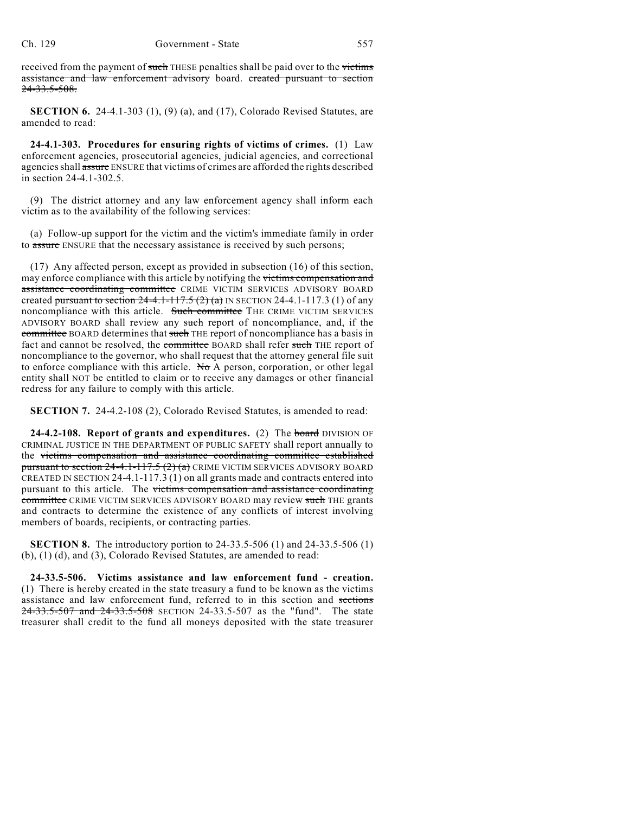received from the payment of such THESE penalties shall be paid over to the victims assistance and law enforcement advisory board. created pursuant to section 24-33.5-508.

**SECTION 6.** 24-4.1-303 (1), (9) (a), and (17), Colorado Revised Statutes, are amended to read:

**24-4.1-303. Procedures for ensuring rights of victims of crimes.** (1) Law enforcement agencies, prosecutorial agencies, judicial agencies, and correctional agencies shall assure ENSURE that victims of crimes are afforded the rights described in section 24-4.1-302.5.

(9) The district attorney and any law enforcement agency shall inform each victim as to the availability of the following services:

(a) Follow-up support for the victim and the victim's immediate family in order to assure ENSURE that the necessary assistance is received by such persons;

(17) Any affected person, except as provided in subsection (16) of this section, may enforce compliance with this article by notifying the victims compensation and assistance coordinating committee CRIME VICTIM SERVICES ADVISORY BOARD created pursuant to section  $24-4.1-117.5(2)(a)$  IN SECTION 24-4.1-117.3 (1) of any noncompliance with this article. Such committee THE CRIME VICTIM SERVICES ADVISORY BOARD shall review any such report of noncompliance, and, if the committee BOARD determines that such THE report of noncompliance has a basis in fact and cannot be resolved, the committee BOARD shall refer such THE report of noncompliance to the governor, who shall request that the attorney general file suit to enforce compliance with this article. No A person, corporation, or other legal entity shall NOT be entitled to claim or to receive any damages or other financial redress for any failure to comply with this article.

**SECTION 7.** 24-4.2-108 (2), Colorado Revised Statutes, is amended to read:

**24-4.2-108. Report of grants and expenditures.** (2) The board DIVISION OF CRIMINAL JUSTICE IN THE DEPARTMENT OF PUBLIC SAFETY shall report annually to the victims compensation and assistance coordinating committee established pursuant to section  $24-4.1-117.5(2)(a)$  CRIME VICTIM SERVICES ADVISORY BOARD CREATED IN SECTION 24-4.1-117.3 (1) on all grants made and contracts entered into pursuant to this article. The victims compensation and assistance coordinating committee CRIME VICTIM SERVICES ADVISORY BOARD may review such THE grants and contracts to determine the existence of any conflicts of interest involving members of boards, recipients, or contracting parties.

**SECTION 8.** The introductory portion to 24-33.5-506 (1) and 24-33.5-506 (1) (b), (1) (d), and (3), Colorado Revised Statutes, are amended to read:

**24-33.5-506. Victims assistance and law enforcement fund - creation.** (1) There is hereby created in the state treasury a fund to be known as the victims assistance and law enforcement fund, referred to in this section and sections 24-33.5-507 and 24-33.5-508 SECTION 24-33.5-507 as the "fund". The state treasurer shall credit to the fund all moneys deposited with the state treasurer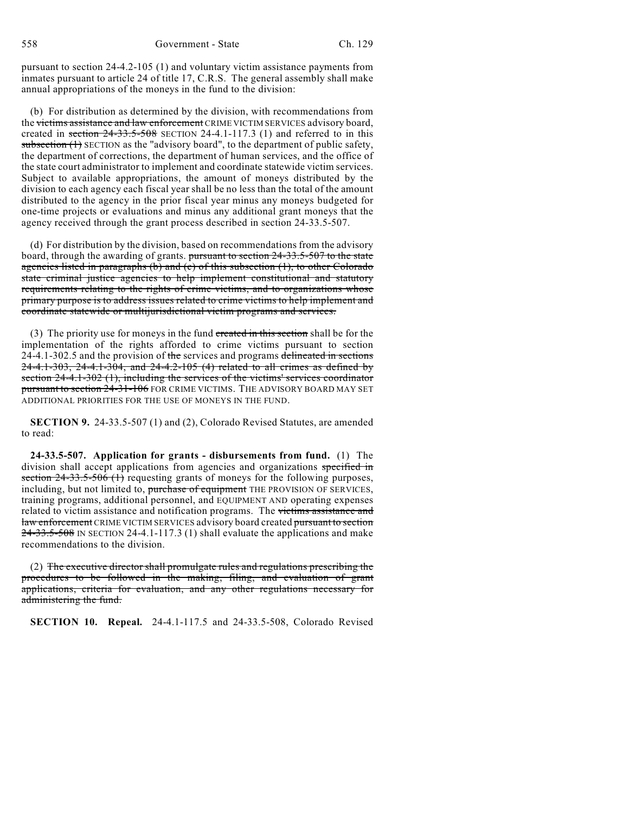pursuant to section 24-4.2-105 (1) and voluntary victim assistance payments from inmates pursuant to article 24 of title 17, C.R.S. The general assembly shall make annual appropriations of the moneys in the fund to the division:

(b) For distribution as determined by the division, with recommendations from the victims assistance and law enforcement CRIME VICTIM SERVICES advisory board, created in section  $24-33.5-508$  SECTION 24-4.1-117.3 (1) and referred to in this subsection (1) SECTION as the "advisory board", to the department of public safety, the department of corrections, the department of human services, and the office of the state court administrator to implement and coordinate statewide victim services. Subject to available appropriations, the amount of moneys distributed by the division to each agency each fiscal year shall be no less than the total of the amount distributed to the agency in the prior fiscal year minus any moneys budgeted for one-time projects or evaluations and minus any additional grant moneys that the agency received through the grant process described in section 24-33.5-507.

(d) For distribution by the division, based on recommendations from the advisory board, through the awarding of grants. pursuant to section 24-33.5-507 to the state agencies listed in paragraphs (b) and (c) of this subsection (1), to other Colorado state criminal justice agencies to help implement constitutional and statutory requirements relating to the rights of crime victims, and to organizations whose primary purpose is to address issues related to crime victims to help implement and coordinate statewide or multijurisdictional victim programs and services.

(3) The priority use for moneys in the fund created in this section shall be for the implementation of the rights afforded to crime victims pursuant to section 24-4.1-302.5 and the provision of the services and programs delineated in sections 24-4.1-303, 24-4.1-304, and 24-4.2-105 (4) related to all crimes as defined by section 24-4.1-302 (1), including the services of the victims' services coordinator pursuant to section  $24-31-106$  FOR CRIME VICTIMS. THE ADVISORY BOARD MAY SET ADDITIONAL PRIORITIES FOR THE USE OF MONEYS IN THE FUND.

**SECTION 9.** 24-33.5-507 (1) and (2), Colorado Revised Statutes, are amended to read:

**24-33.5-507. Application for grants - disbursements from fund.** (1) The division shall accept applications from agencies and organizations specified in section 24-33.5-506 (1) requesting grants of moneys for the following purposes, including, but not limited to, purchase of equipment THE PROVISION OF SERVICES, training programs, additional personnel, and EQUIPMENT AND operating expenses related to victim assistance and notification programs. The victims assistance and law enforcement CRIME VICTIM SERVICES advisory board created pursuant to section  $24-33.5-508$  IN SECTION 24-4.1-117.3 (1) shall evaluate the applications and make recommendations to the division.

(2) The executive director shall promulgate rules and regulations prescribing the procedures to be followed in the making, filing, and evaluation of grant applications, criteria for evaluation, and any other regulations necessary for administering the fund.

**SECTION 10. Repeal.** 24-4.1-117.5 and 24-33.5-508, Colorado Revised